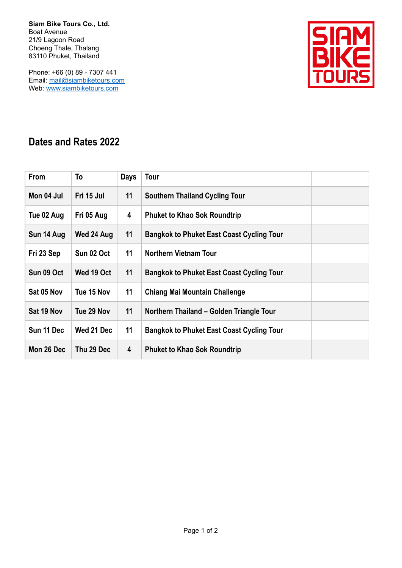**Siam Bike Tours Co., Ltd.** Boat Avenue 21/9 Lagoon Road Choeng Thale, Thalang 83110 Phuket, Thailand

Phone: +66 (0) 89 - 7307 441 Email: mail@siambiketours.com Web: www.siambiketours.com



## **Dates and Rates 2022**

| <b>From</b> | To         | <b>Days</b> | Tour                                             |
|-------------|------------|-------------|--------------------------------------------------|
| Mon 04 Jul  | Fri 15 Jul | 11          | <b>Southern Thailand Cycling Tour</b>            |
| Tue 02 Aug  | Fri 05 Aug | 4           | <b>Phuket to Khao Sok Roundtrip</b>              |
| Sun 14 Aug  | Wed 24 Aug | 11          | <b>Bangkok to Phuket East Coast Cycling Tour</b> |
| Fri 23 Sep  | Sun 02 Oct | 11          | <b>Northern Vietnam Tour</b>                     |
| Sun 09 Oct  | Wed 19 Oct | 11          | <b>Bangkok to Phuket East Coast Cycling Tour</b> |
| Sat 05 Nov  | Tue 15 Nov | 11          | <b>Chiang Mai Mountain Challenge</b>             |
| Sat 19 Nov  | Tue 29 Nov | 11          | Northern Thailand – Golden Triangle Tour         |
| Sun 11 Dec  | Wed 21 Dec | 11          | <b>Bangkok to Phuket East Coast Cycling Tour</b> |
| Mon 26 Dec  | Thu 29 Dec | 4           | <b>Phuket to Khao Sok Roundtrip</b>              |